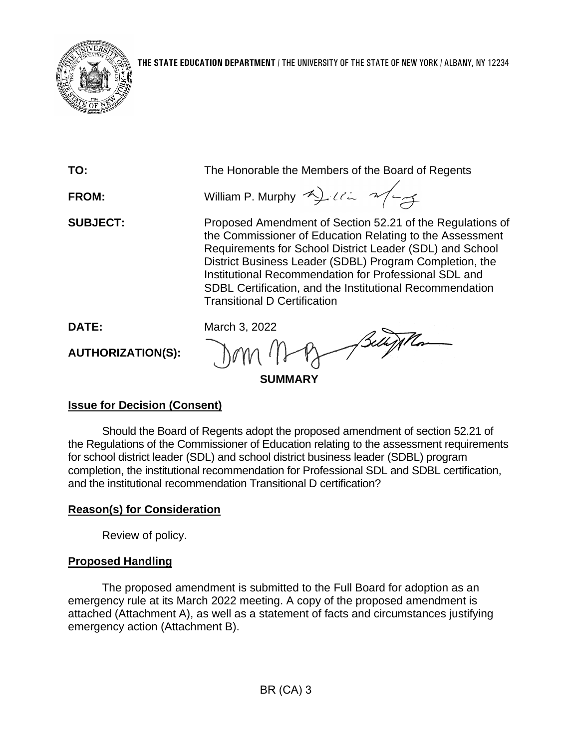

| TO:             | The Honorable the Members of the Board of Regents                                                                                                                                                                                                                                                                                                                                                        |
|-----------------|----------------------------------------------------------------------------------------------------------------------------------------------------------------------------------------------------------------------------------------------------------------------------------------------------------------------------------------------------------------------------------------------------------|
| <b>FROM:</b>    | William P. Murphy 4) 112 2/23                                                                                                                                                                                                                                                                                                                                                                            |
| <b>SUBJECT:</b> | Proposed Amendment of Section 52.21 of the Regulations of<br>the Commissioner of Education Relating to the Assessment<br>Requirements for School District Leader (SDL) and School<br>District Business Leader (SDBL) Program Completion, the<br>Institutional Recommendation for Professional SDL and<br>SDBL Certification, and the Institutional Recommendation<br><b>Transitional D Certification</b> |
| <b>DATE:</b>    | March 3, 2022                                                                                                                                                                                                                                                                                                                                                                                            |

**AUTHORIZATION(S):**

 $J \cap M$  (1)

**SUMMARY**

## **Issue for Decision (Consent)**

Should the Board of Regents adopt the proposed amendment of section 52.21 of the Regulations of the Commissioner of Education relating to the assessment requirements for school district leader (SDL) and school district business leader (SDBL) program completion, the institutional recommendation for Professional SDL and SDBL certification, and the institutional recommendation Transitional D certification?

## **Reason(s) for Consideration**

Review of policy.

## **Proposed Handling**

The proposed amendment is submitted to the Full Board for adoption as an emergency rule at its March 2022 meeting. A copy of the proposed amendment is attached (Attachment A), as well as a statement of facts and circumstances justifying emergency action (Attachment B).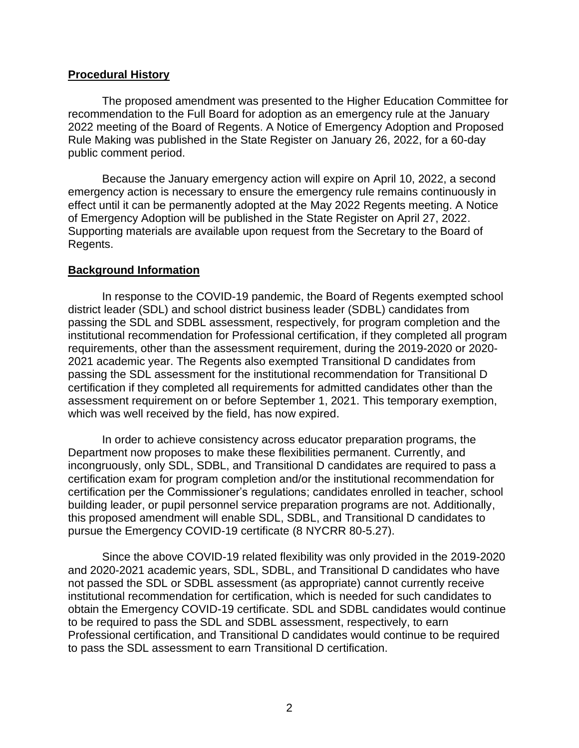#### **Procedural History**

The proposed amendment was presented to the Higher Education Committee for recommendation to the Full Board for adoption as an emergency rule at the January 2022 meeting of the Board of Regents. A Notice of Emergency Adoption and Proposed Rule Making was published in the State Register on January 26, 2022, for a 60-day public comment period.

Because the January emergency action will expire on April 10, 2022, a second emergency action is necessary to ensure the emergency rule remains continuously in effect until it can be permanently adopted at the May 2022 Regents meeting. A Notice of Emergency Adoption will be published in the State Register on April 27, 2022. Supporting materials are available upon request from the Secretary to the Board of Regents.

#### **Background Information**

In response to the COVID-19 pandemic, the Board of Regents exempted school district leader (SDL) and school district business leader (SDBL) candidates from passing the SDL and SDBL assessment, respectively, for program completion and the institutional recommendation for Professional certification, if they completed all program requirements, other than the assessment requirement, during the 2019-2020 or 2020- 2021 academic year. The Regents also exempted Transitional D candidates from passing the SDL assessment for the institutional recommendation for Transitional D certification if they completed all requirements for admitted candidates other than the assessment requirement on or before September 1, 2021. This temporary exemption, which was well received by the field, has now expired.

In order to achieve consistency across educator preparation programs, the Department now proposes to make these flexibilities permanent. Currently, and incongruously, only SDL, SDBL, and Transitional D candidates are required to pass a certification exam for program completion and/or the institutional recommendation for certification per the Commissioner's regulations; candidates enrolled in teacher, school building leader, or pupil personnel service preparation programs are not. Additionally, this proposed amendment will enable SDL, SDBL, and Transitional D candidates to pursue the Emergency COVID-19 certificate (8 NYCRR 80-5.27).

Since the above COVID-19 related flexibility was only provided in the 2019-2020 and 2020-2021 academic years, SDL, SDBL, and Transitional D candidates who have not passed the SDL or SDBL assessment (as appropriate) cannot currently receive institutional recommendation for certification, which is needed for such candidates to obtain the Emergency COVID-19 certificate. SDL and SDBL candidates would continue to be required to pass the SDL and SDBL assessment, respectively, to earn Professional certification, and Transitional D candidates would continue to be required to pass the SDL assessment to earn Transitional D certification.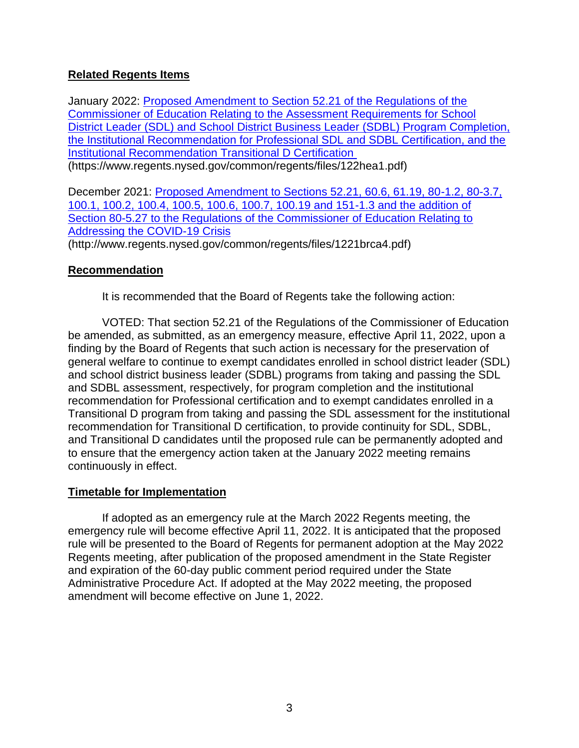## **Related Regents Items**

January 2022: [Proposed Amendment to Section 52.21 of the Regulations of the](https://www.regents.nysed.gov/common/regents/files/122hea1.pdf)  [Commissioner of Education Relating to the Assessment Requirements for School](https://www.regents.nysed.gov/common/regents/files/122hea1.pdf)  [District Leader \(SDL\) and School District Business Leader \(SDBL\) Program Completion,](https://www.regents.nysed.gov/common/regents/files/122hea1.pdf)  [the Institutional Recommendation for Professional SDL and SDBL Certification, and the](https://www.regents.nysed.gov/common/regents/files/122hea1.pdf)  [Institutional Recommendation Transitional D Certification](https://www.regents.nysed.gov/common/regents/files/122hea1.pdf) (https://www.regents.nysed.gov/common/regents/files/122hea1.pdf)

December 2021: [Proposed Amendment to Sections 52.21, 60.6, 61.19, 80-1.2, 80-3.7,](http://www.regents.nysed.gov/common/regents/files/1221brca4.pdf)  [100.1, 100.2, 100.4, 100.5, 100.6, 100.7, 100.19 and 151-1.3 and the addition of](http://www.regents.nysed.gov/common/regents/files/1221brca4.pdf)  [Section 80-5.27 to the Regulations of the Commissioner of Education Relating to](http://www.regents.nysed.gov/common/regents/files/1221brca4.pdf)  [Addressing the COVID-19 Crisis](http://www.regents.nysed.gov/common/regents/files/1221brca4.pdf) (http://www.regents.nysed.gov/common/regents/files/1221brca4.pdf)

### **Recommendation**

It is recommended that the Board of Regents take the following action:

VOTED: That section 52.21 of the Regulations of the Commissioner of Education be amended, as submitted, as an emergency measure, effective April 11, 2022, upon a finding by the Board of Regents that such action is necessary for the preservation of general welfare to continue to exempt candidates enrolled in school district leader (SDL) and school district business leader (SDBL) programs from taking and passing the SDL and SDBL assessment, respectively, for program completion and the institutional recommendation for Professional certification and to exempt candidates enrolled in a Transitional D program from taking and passing the SDL assessment for the institutional recommendation for Transitional D certification, to provide continuity for SDL, SDBL, and Transitional D candidates until the proposed rule can be permanently adopted and to ensure that the emergency action taken at the January 2022 meeting remains continuously in effect.

### **Timetable for Implementation**

If adopted as an emergency rule at the March 2022 Regents meeting, the emergency rule will become effective April 11, 2022. It is anticipated that the proposed rule will be presented to the Board of Regents for permanent adoption at the May 2022 Regents meeting, after publication of the proposed amendment in the State Register and expiration of the 60-day public comment period required under the State Administrative Procedure Act. If adopted at the May 2022 meeting, the proposed amendment will become effective on June 1, 2022.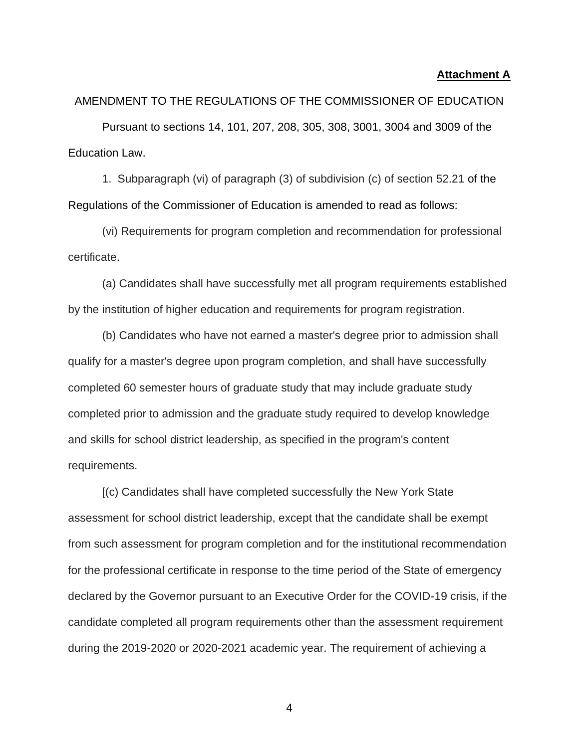#### **Attachment A**

AMENDMENT TO THE REGULATIONS OF THE COMMISSIONER OF EDUCATION Pursuant to sections 14, 101, 207, 208, 305, 308, 3001, 3004 and 3009 of the Education Law.

1. Subparagraph (vi) of paragraph (3) of subdivision (c) of section 52.21 of the Regulations of the Commissioner of Education is amended to read as follows:

(vi) Requirements for program completion and recommendation for professional certificate.

(a) Candidates shall have successfully met all program requirements established by the institution of higher education and requirements for program registration.

(b) Candidates who have not earned a master's degree prior to admission shall qualify for a master's degree upon program completion, and shall have successfully completed 60 semester hours of graduate study that may include graduate study completed prior to admission and the graduate study required to develop knowledge and skills for school district leadership, as specified in the program's content requirements.

[(c) Candidates shall have completed successfully the New York State assessment for school district leadership, except that the candidate shall be exempt from such assessment for program completion and for the institutional recommendation for the professional certificate in response to the time period of the State of emergency declared by the Governor pursuant to an Executive Order for the COVID-19 crisis, if the candidate completed all program requirements other than the assessment requirement during the 2019-2020 or 2020-2021 academic year. The requirement of achieving a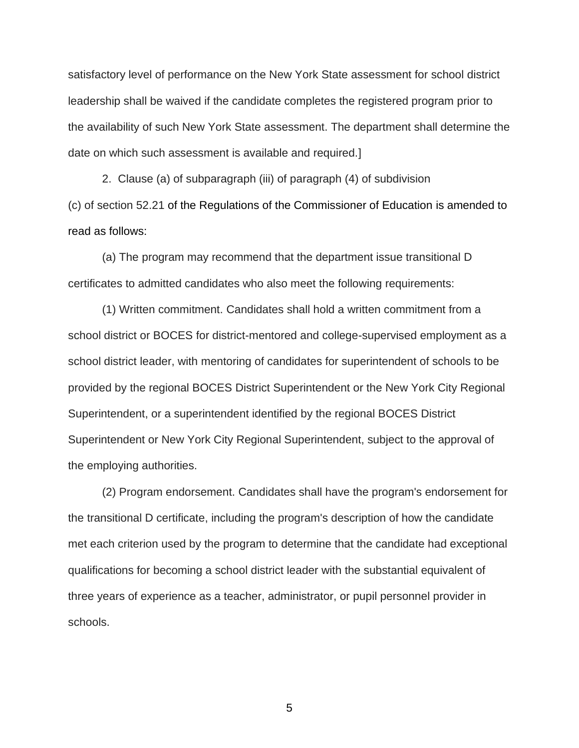satisfactory level of performance on the New York State assessment for school district leadership shall be waived if the candidate completes the registered program prior to the availability of such New York State assessment. The department shall determine the date on which such assessment is available and required.]

2. Clause (a) of subparagraph (iii) of paragraph (4) of subdivision (c) of section 52.21 of the Regulations of the Commissioner of Education is amended to read as follows:

(a) The program may recommend that the department issue transitional D certificates to admitted candidates who also meet the following requirements:

(1) Written commitment. Candidates shall hold a written commitment from a school district or BOCES for district-mentored and college-supervised employment as a school district leader, with mentoring of candidates for superintendent of schools to be provided by the regional BOCES District Superintendent or the New York City Regional Superintendent, or a superintendent identified by the regional BOCES District Superintendent or New York City Regional Superintendent, subject to the approval of the employing authorities.

(2) Program endorsement. Candidates shall have the program's endorsement for the transitional D certificate, including the program's description of how the candidate met each criterion used by the program to determine that the candidate had exceptional qualifications for becoming a school district leader with the substantial equivalent of three years of experience as a teacher, administrator, or pupil personnel provider in schools.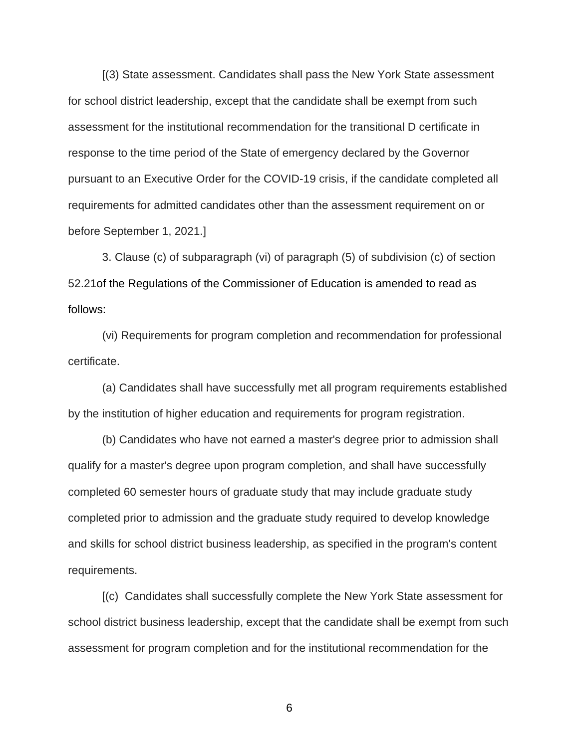[(3) State assessment. Candidates shall pass the New York State assessment for school district leadership, except that the candidate shall be exempt from such assessment for the institutional recommendation for the transitional D certificate in response to the time period of the State of emergency declared by the Governor pursuant to an Executive Order for the COVID-19 crisis, if the candidate completed all requirements for admitted candidates other than the assessment requirement on or before September 1, 2021.]

3. Clause (c) of subparagraph (vi) of paragraph (5) of subdivision (c) of section 52.21of the Regulations of the Commissioner of Education is amended to read as follows:

(vi) Requirements for program completion and recommendation for professional certificate.

(a) Candidates shall have successfully met all program requirements established by the institution of higher education and requirements for program registration.

(b) Candidates who have not earned a master's degree prior to admission shall qualify for a master's degree upon program completion, and shall have successfully completed 60 semester hours of graduate study that may include graduate study completed prior to admission and the graduate study required to develop knowledge and skills for school district business leadership, as specified in the program's content requirements.

[(c) Candidates shall successfully complete the New York State assessment for school district business leadership, except that the candidate shall be exempt from such assessment for program completion and for the institutional recommendation for the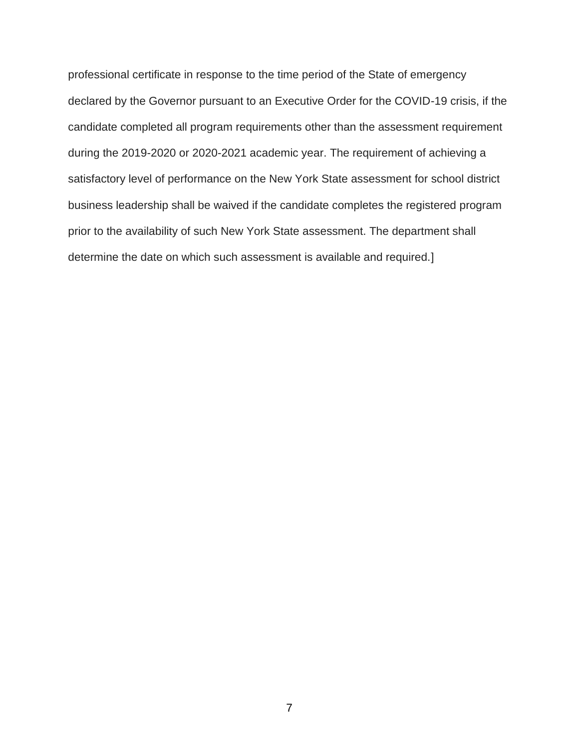professional certificate in response to the time period of the State of emergency declared by the Governor pursuant to an Executive Order for the COVID-19 crisis, if the candidate completed all program requirements other than the assessment requirement during the 2019-2020 or 2020-2021 academic year. The requirement of achieving a satisfactory level of performance on the New York State assessment for school district business leadership shall be waived if the candidate completes the registered program prior to the availability of such New York State assessment. The department shall determine the date on which such assessment is available and required.]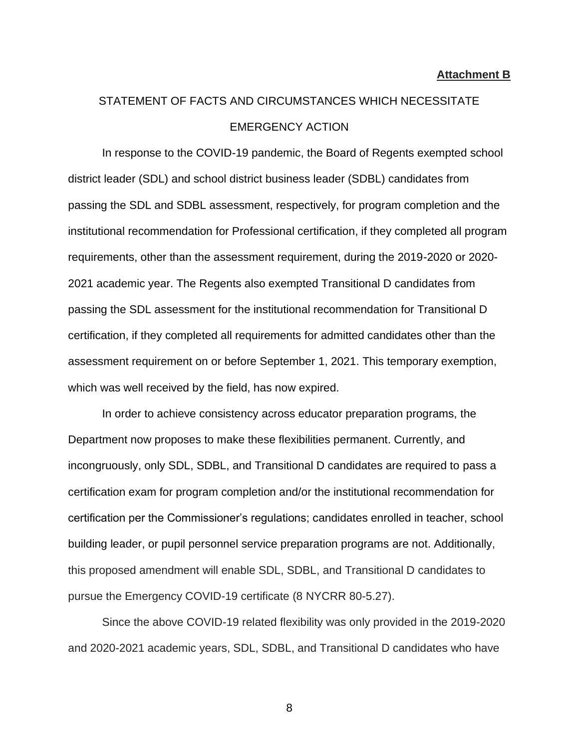# STATEMENT OF FACTS AND CIRCUMSTANCES WHICH NECESSITATE EMERGENCY ACTION

In response to the COVID-19 pandemic, the Board of Regents exempted school district leader (SDL) and school district business leader (SDBL) candidates from passing the SDL and SDBL assessment, respectively, for program completion and the institutional recommendation for Professional certification, if they completed all program requirements, other than the assessment requirement, during the 2019-2020 or 2020- 2021 academic year. The Regents also exempted Transitional D candidates from passing the SDL assessment for the institutional recommendation for Transitional D certification, if they completed all requirements for admitted candidates other than the assessment requirement on or before September 1, 2021. This temporary exemption, which was well received by the field, has now expired.

In order to achieve consistency across educator preparation programs, the Department now proposes to make these flexibilities permanent. Currently, and incongruously, only SDL, SDBL, and Transitional D candidates are required to pass a certification exam for program completion and/or the institutional recommendation for certification per the Commissioner's regulations; candidates enrolled in teacher, school building leader, or pupil personnel service preparation programs are not. Additionally, this proposed amendment will enable SDL, SDBL, and Transitional D candidates to pursue the Emergency COVID-19 certificate (8 NYCRR 80-5.27).

Since the above COVID-19 related flexibility was only provided in the 2019-2020 and 2020-2021 academic years, SDL, SDBL, and Transitional D candidates who have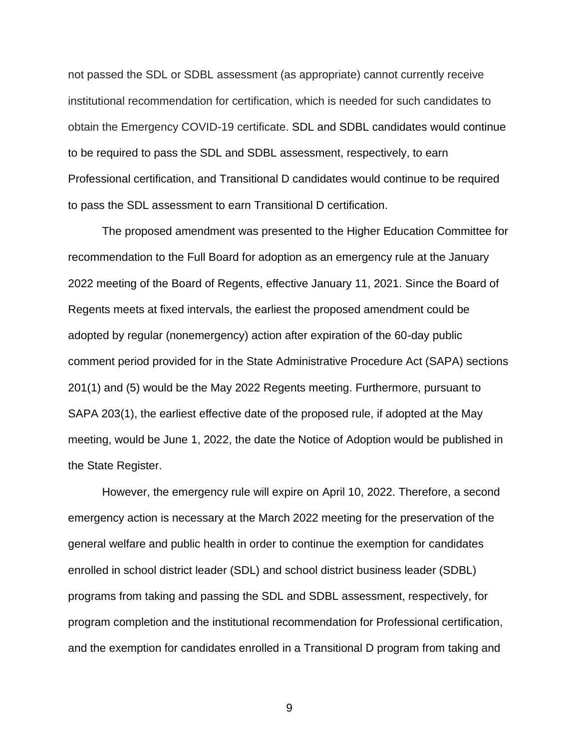not passed the SDL or SDBL assessment (as appropriate) cannot currently receive institutional recommendation for certification, which is needed for such candidates to obtain the Emergency COVID-19 certificate. SDL and SDBL candidates would continue to be required to pass the SDL and SDBL assessment, respectively, to earn Professional certification, and Transitional D candidates would continue to be required to pass the SDL assessment to earn Transitional D certification.

The proposed amendment was presented to the Higher Education Committee for recommendation to the Full Board for adoption as an emergency rule at the January 2022 meeting of the Board of Regents, effective January 11, 2021. Since the Board of Regents meets at fixed intervals, the earliest the proposed amendment could be adopted by regular (nonemergency) action after expiration of the 60-day public comment period provided for in the State Administrative Procedure Act (SAPA) sections 201(1) and (5) would be the May 2022 Regents meeting. Furthermore, pursuant to SAPA 203(1), the earliest effective date of the proposed rule, if adopted at the May meeting, would be June 1, 2022, the date the Notice of Adoption would be published in the State Register.

However, the emergency rule will expire on April 10, 2022. Therefore, a second emergency action is necessary at the March 2022 meeting for the preservation of the general welfare and public health in order to continue the exemption for candidates enrolled in school district leader (SDL) and school district business leader (SDBL) programs from taking and passing the SDL and SDBL assessment, respectively, for program completion and the institutional recommendation for Professional certification, and the exemption for candidates enrolled in a Transitional D program from taking and